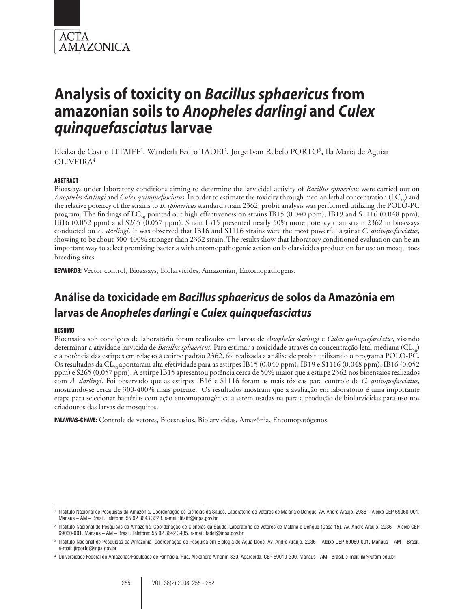

# **Analysis of toxicity on** *Bacillus sphaericus* **from amazonian soils to** *Anopheles darlingi* **and** *Culex quinquefasciatus* **larvae**

Eleilza de Castro LITAIFF<sup>1</sup>, Wanderli Pedro TADEI<sup>2</sup>, Jorge Ivan Rebelo PORTO<sup>3</sup>, Ila Maria de Aguiar OLIVEIRA4

#### ABSTRACT

Bioassays under laboratory conditions aiming to determine the larvicidal activity of *Bacillus sphaericus* were carried out on *Anopheles darlingi* and *Culex quinquefasciatus*. In order to estimate the toxicity through median lethal concentration (LC<sub>50</sub>) and the relative potency of the strains to *B. sphaericus* standard strain 2362, probit analysis was performed utilizing the POLO-PC program. The findings of LC<sub>50</sub> pointed out high effectiveness on strains IB15 (0.040 ppm), IB19 and S1116 (0.048 ppm), IB16 (0.052 ppm) and S265 (0.057 ppm). Strain IB15 presented nearly 50% more potency than strain 2362 in bioassays conducted on *A. darlingi*. It was observed that IB16 and S1116 strains were the most powerful against *C. quinquefasciatus*, showing to be about 300-400% stronger than 2362 strain. The results show that laboratory conditioned evaluation can be an important way to select promising bacteria with entomopathogenic action on biolarvicides production for use on mosquitoes breeding sites.

KEYWORDS: Vector control, Bioassays, Biolarvicides, Amazonian, Entomopathogens.

# **Análise da toxicidade em** *Bacillus sphaericus* **de solos da Amazônia em larvas de** *Anopheles darlingi* **e** *Culex quinquefasciatus*

#### RESUMO

Bioensaios sob condições de laboratório foram realizados em larvas de *Anopheles darlingi* e *Culex quinquefasciatus*, visando determinar a atividade larvicida de *Bacillus sphaericus*. Para estimar a toxicidade através da concentração letal mediana (CL50) e a potência das estirpes em relação à estirpe padrão 2362, foi realizada a análise de probit utilizando o programa POLO-PC. Os resultados da CL<sub>50</sub> apontaram alta efetividade para as estirpes IB15 (0,040 ppm), IB19 e S1116 (0,048 ppm), IB16 (0,052 ppm) e S265 (0,057 ppm). A estirpe IB15 apresentou potência cerca de 50% maior que a estirpe 2362 nos bioensaios realizados com *A. darlingi*. Foi observado que as estirpes IB16 e S1116 foram as mais tóxicas para controle de *C. quinquefasciatus*, mostrando-se cerca de 300-400% mais potente. Os resultados mostram que a avaliação em laboratório é uma importante etapa para selecionar bactérias com ação entomopatogênica a serem usadas na para a produção de biolarvicidas para uso nos criadouros das larvas de mosquitos.

PALAVRAS-CHAVE: Controle de vetores, Bioesnasios, Biolarvicidas, Amazônia, Entomopatógenos.

<sup>1</sup> Instituto Nacional de Pesquisas da Amazônia, Coordenação de Ciências da Saúde, Laboratório de Vetores de Malária e Dengue. Av. André Araújo, 2936 – Aleixo CEP 69060-001. Manaus – AM – Brasil. Telefone: 55 92 3643 3223. e-mail: litaiff@inpa.gov.br

<sup>2</sup> Instituto Nacional de Pesquisas da Amazônia, Coordenação de Ciências da Saúde, Laboratório de Vetores de Malária e Dengue (Casa 15). Av. André Araújo, 2936 – Aleixo CEP 69060-001. Manaus – AM – Brasil. Telefone: 55 92 3642 3435. e-mail: tadei@inpa.gov.br

<sup>3</sup> Instituto Nacional de Pesquisas da Amazônia, Coordenação de Pesquisa em Biologia de Água Doce. Av. André Araújo, 2936 – Aleixo CEP 69060-001. Manaus – AM – Brasil. e-mail: jirporto@inpa.gov.br

<sup>4</sup> Universidade Federal do Amazonas/Faculdade de Farmácia. Rua. Alexandre Amorim 330, Aparecida. CEP 69010-300. Manaus - AM - Brasil. e-mail: ila@ufam.edu.br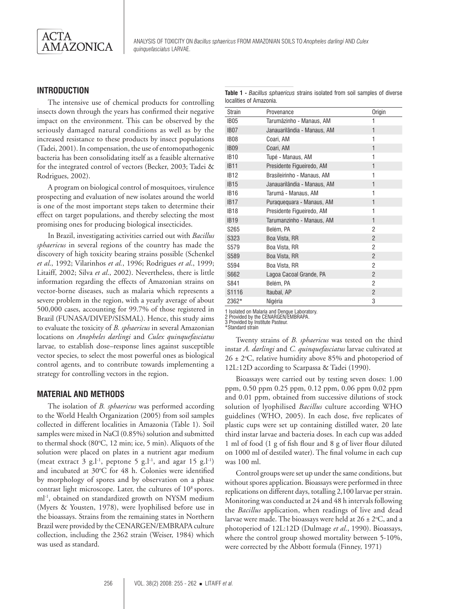

# **INTRODUCTION**

The intensive use of chemical products for controlling insects down through the years has confirmed their negative impact on the environment. This can be observed by the seriously damaged natural conditions as well as by the increased resistance to these products by insect populations (Tadei, 2001). In compensation, the use of entomopathogenic bacteria has been consolidating itself as a feasible alternative for the integrated control of vectors (Becker, 2003; Tadei & Rodrigues, 2002).

A program on biological control of mosquitoes, virulence prospecting and evaluation of new isolates around the world is one of the most important steps taken to determine their effect on target populations, and thereby selecting the most promising ones for producing biological insecticides.

In Brazil, investigating activities carried out with *Bacillus sphaericus* in several regions of the country has made the discovery of high toxicity bearing strains possible (Schenkel *et al*., 1992; Vilarinhos *et al.*, 1996; Rodrigues *et al*., 1999; Litaiff, 2002; Silva *et al*., 2002). Nevertheless, there is little information regarding the effects of Amazonian strains on vector-borne diseases, such as malaria which represents a severe problem in the region, with a yearly average of about 500,000 cases, accounting for 99.7% of those registered in Brazil (FUNASA/DIVEP/SISMAL). Hence, this study aims to evaluate the toxicity of *B. sphaericus* in several Amazonian locations on *Anopheles darlingi* and *Culex quinquefasciatus* larvae*,* to establish dose–response lines against susceptible vector species, to select the most powerful ones as biological control agents, and to contribute towards implementing a strategy for controlling vectors in the region.

#### **MATERIAL AND METHODS**

The isolation of *B. sphaericus* was performed according to the World Health Organization (2005) from soil samples collected in different localities in Amazonia (Table 1). Soil samples were mixed in NaCl (0.85%) solution and submitted to thermal shock (80°C, 12 min; ice, 5 min). Aliquots of the solution were placed on plates in a nutrient agar medium (meat extract 3 g.l<sup>-1</sup>, peptone 5 g.l<sup>-1</sup>, and agar 15 g.l<sup>-1</sup>) and incubated at 30°C for 48 h. Colonies were identified by morphology of spores and by observation on a phase contrast light microscope. Later, the cultures of 10<sup>8</sup> spores. ml<sup>-1</sup>, obtained on standardized growth on NYSM medium (Myers & Yousten, 1978), were lyophilised before use in the bioassays. Strains from the remaining states in Northern Brazil were provided by the CENARGEN/EMBRAPA culture collection, including the 2362 strain (Weiser, 1984) which was used as standard.

| <b>Table 1 - Bacillus sphaericus strains isolated from soil samples of diverse</b> |  |  |  |  |
|------------------------------------------------------------------------------------|--|--|--|--|
| localities of Amazonia.                                                            |  |  |  |  |

| <b>Strain</b>    | Provenance                  | Origin         |
|------------------|-----------------------------|----------------|
| <b>IB05</b>      | Tarumãzinho - Manaus, AM    |                |
| IB <sub>07</sub> | Janauarilândia - Manaus, AM | 1              |
| <b>IB08</b>      | Coari, AM                   | 1              |
| <b>IB09</b>      | Coari, AM                   | 1              |
| <b>IB10</b>      | Tupé - Manaus, AM           | 1              |
| <b>IB11</b>      | Presidente Figueiredo, AM   | 1              |
| <b>IB12</b>      | Brasileirinho - Manaus, AM  | 1              |
| <b>IB15</b>      | Janauarilândia - Manaus, AM | 1              |
| <b>IB16</b>      | Tarumã - Manaus, AM         | 1              |
| <b>IB17</b>      | Puraquequara - Manaus, AM   | 1              |
| IB <sub>18</sub> | Presidente Figueiredo, AM   | 1              |
| <b>IB19</b>      | Tarumanzinho - Manaus, AM   | $\mathbf{1}$   |
| S265             | Belém, PA                   | 2              |
| S323             | Boa Vista, RR               | $\overline{2}$ |
| S579             | Boa Vista, RR               | $\overline{2}$ |
| S589             | Boa Vista, RR               | $\overline{2}$ |
| S594             | Boa Vista, RR               | 2              |
| S662             | Lagoa Cacoal Grande, PA     | $\mathfrak{p}$ |
| S841             | Belém, PA                   | 2              |
| S1116            | Itaubal, AP                 | $\overline{2}$ |
| 2362*            | Nigéria                     | 3              |

1 Isolated on Malaria and Dengue Laboratory.

2 Provided by the CENARGEN/EMBRAPA.

3 Provided by Institute Pasteur. \*Standard strain

Twenty strains of *B. sphaericus* was tested on the third instar *A. darlingi* and *C. quinquefasciatus* larvae cultivated at  $26 \pm 2$ °C, relative humidity above 85% and photoperiod of 12L:12D according to Scarpassa & Tadei (1990).

Bioassays were carried out by testing seven doses: 1.00 ppm, 0.50 ppm 0.25 ppm, 0.12 ppm, 0.06 ppm 0,02 ppm and 0.01 ppm, obtained from successive dilutions of stock solution of lyophilised *Bacillus* culture according WHO guidelines (WHO, 2005). In each dose, five replicates of plastic cups were set up containing distilled water, 20 late third instar larvae and bacteria doses. In each cup was added 1 ml of food (1 g of fish flour and 8 g of liver flour diluted on 1000 ml of destiled water). The final volume in each cup was 100 ml.

Control groups were set up under the same conditions, but without spores application. Bioassays were performed in three replications on different days, totalling 2,100 larvae per strain. Monitoring was conducted at 24 and 48 h intervals following the *Bacillus* application, when readings of live and dead larvae were made. The bioassays were held at  $26 \pm 2^{\circ}C$ , and a photoperiod of 12L:12D (Dulmage *et al*., 1990). Bioassays, where the control group showed mortality between 5-10%, were corrected by the Abbott formula (Finney, 1971)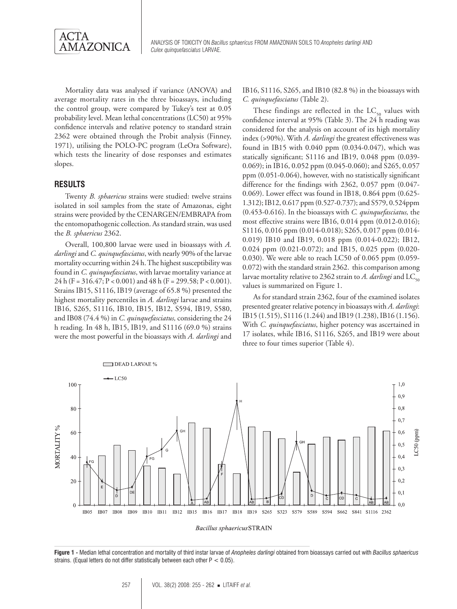

Mortality data was analysed if variance (ANOVA) and average mortality rates in the three bioassays, including the control group, were compared by Tukey's test at 0.05 probability level. Mean lethal concentrations (LC50) at 95% confidence intervals and relative potency to standard strain 2362 were obtained through the Probit analysis (Finney, 1971), utilising the POLO-PC program (LeOra Software), which tests the linearity of dose responses and estimates slopes.

#### **RESULTS**

Twenty *B. sphaericus* strains were studied: twelve strains isolated in soil samples from the state of Amazonas, eight strains were provided by the CENARGEN/EMBRAPA from the entomopathogenic collection. As standard strain, was used the *B. sphaericus* 2362.

Overall, 100,800 larvae were used in bioassays with *A. darlingi* and *C. quinquefasciatus*, with nearly 90% of the larvae mortality occurring within 24 h. The highest susceptibility was found in *C. quinquefasciatus*, with larvae mortality variance at 24 h (F = 316.47; P < 0.001) and 48 h (F = 299.58; P < 0.001). Strains IB15, S1116, IB19 (average of 65.8 %) presented the highest mortality percentiles in *A. darlingi* larvae and strains IB16, S265, S1116, IB10, IB15, IB12, S594, IB19, S580, and IB08 (74.4 %) in *C. quinquefasciatus,* considering the 24 h reading*.* In 48 h, IB15, IB19, and S1116 (69.0 %) strains were the most powerful in the bioassays with *A. darlingi* and

IB16, S1116, S265, and IB10 (82.8 %) in the bioassays with *C. quinquefasciatus* (Table 2).

These findings are reflected in the  $LC_{50}$  values with confidence interval at 95% (Table 3). The 24 h reading was considered for the analysis on account of its high mortality index (>90%). With *A. darlingi* the greatest effectiveness was found in IB15 with 0.040 ppm (0.034-0.047), which was statically significant; S1116 and IB19, 0.048 ppm (0.039- 0.069); in IB16, 0.052 ppm (0.045-0.060); and S265, 0.057 ppm (0.051-0.064), however, with no statistically significant difference for the findings with 2362, 0.057 ppm (0.047- 0.069). Lower effect was found in IB18, 0.864 ppm (0.625- 1.312); IB12, 0.617 ppm (0.527-0.737); and S579, 0.524ppm (0.453-0.616). In the bioassays with *C. quinquefasciatus,* the most effective strains were IB16, 0.014 ppm (0.012-0.016); S1116, 0.016 ppm (0.014-0.018); S265, 0.017 ppm (0.014-0.019) IB10 and IB19, 0.018 ppm (0.014-0.022); IB12, 0.024 ppm (0.021-0.072); and IB15, 0.025 ppm (0.020- 0.030). We were able to reach LC50 of 0.065 ppm (0.059- 0.072) with the standard strain 2362. this comparison among larvae mortality relative to 2362 strain to *A. darlingi* and LC<sub>50</sub> values is summarized on Figure 1.

As for standard strain 2362, four of the examined isolates presented greater relative potency in bioassays with *A. darlingi*: IB15 (1.515), S1116 (1.244) and IB19 (1.238), IB16 (1.156). With *C. quinquefasciatus*, higher potency was ascertained in 17 isolates, while IB16, S1116, S265, and IB19 were about three to four times superior (Table 4).



Bacillus sphaericus STRAIN

**Figure 1 -** Median lethal concentration and mortality of third instar larvae of *Anopheles darlingi* obtained from bioassays carried out with *Bacillus sphaericus* strains. (Equal letters do not differ statistically between each other  $P < 0.05$ ).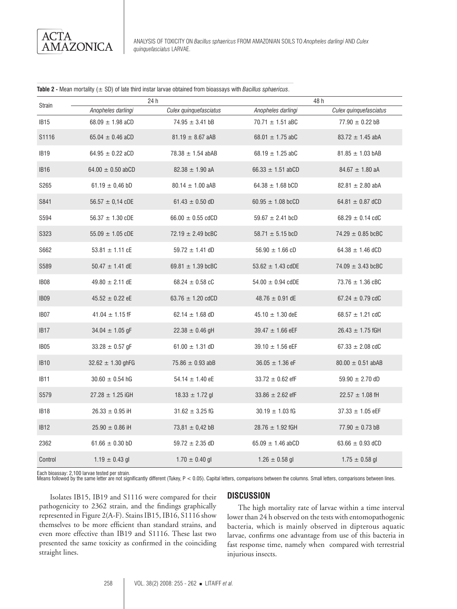Analysis of toxicity on *Bacillus sphaericus* from amazonian soils to *Anopheles darlingi* and *Culex quinquefasciatus* larvae.

|  |  |  | Table 2 - Mean mortality $(\pm$ SD) of late third instar larvae obtained from bioassays with Bacillus sphaericus. |  |  |
|--|--|--|-------------------------------------------------------------------------------------------------------------------|--|--|
|--|--|--|-------------------------------------------------------------------------------------------------------------------|--|--|

| Strain           |                       | 24h                    | 48 h                        |                        |  |
|------------------|-----------------------|------------------------|-----------------------------|------------------------|--|
|                  | Anopheles darlingi    | Culex quinquefasciatus | Anopheles darlingi          | Culex quinquefasciatus |  |
| IB <sub>15</sub> | 68.09 $\pm$ 1.98 aCD  | $74.95 \pm 3.41$ bB    | $70.71 \pm 1.51$ aBC        | $77.90 \pm 0.22$ bB    |  |
| S1116            | 65.04 $\pm$ 0.46 aCD  | $81.19 \pm 8.67$ aAB   | 68.01 $\pm$ 1.75 abC        | $83.72 \pm 1.45$ abA   |  |
| <b>IB19</b>      | 64.95 $\pm$ 0.22 aCD  | 78.38 $\pm$ 1.54 abAB  | 68.19 $\pm$ 1.25 abC        | $81.85 \pm 1.03$ bAB   |  |
| <b>IB16</b>      | 64.00 $\pm$ 0.50 abCD | $82.38 \pm 1.90$ aA    | 66.33 $\pm$ 1.51 abCD       | $84.67 \pm 1.80$ aA    |  |
| S265             | 61.19 $\pm$ 0,46 bD   | $80.14 \pm 1.00$ aAB   | 64.38 $\pm$ 1.68 bCD        | $82.81 \pm 2.80$ abA   |  |
| S841             | $56.57 \pm 0.14$ cDE  | 61.43 $\pm$ 0.50 dD    | 60.95 $\pm$ 1.08 bcCD       | 64.81 $\pm$ 0.87 dCD   |  |
| S594             | $56.37 \pm 1.30$ cDE  | 66.00 $\pm$ 0.55 cdCD  | 59.67 $\pm$ 2.41 bcD        | 68.29 $\pm$ 0.14 cdC   |  |
| S323             | $55.09 \pm 1.05$ cDE  | 72.19 $\pm$ 2.49 bcBC  | 58.71 $\pm$ 5.15 bcD        | $74.29 \pm 0.85$ bcBC  |  |
| S662             | $53.81 \pm 1.11$ cE   | $59.72 \pm 1.41$ dD    | $56.90 \pm 1.66 \text{ cD}$ | 64.38 $\pm$ 1.46 dCD   |  |
| S589             | $50.47 \pm 1.41$ dE   | 69.81 $\pm$ 1.39 bcBC  | 53.62 $\pm$ 1.43 cdDE       | 74.09 $\pm$ 3.43 bcBC  |  |
| IB <sub>08</sub> | 49.80 $\pm$ 2.11 dE   | 68.24 $\pm$ 0.58 cC    | 54.00 $\pm$ 0.94 cdDE       | $73.76 \pm 1.36$ cBC   |  |
| <b>IB09</b>      | $45.52 \pm 0.22$ eE   | 63.76 $\pm$ 1.20 cdCD  | 48.76 $\pm$ 0.91 dE         | 67.24 $\pm$ 0.79 cdC   |  |
| IB <sub>07</sub> | $41.04 \pm 1.15$ fF   | 62.14 $\pm$ 1.68 dD    | $45.10 \pm 1.30$ deE        | 68.57 $\pm$ 1.21 cdC   |  |
| IB <sub>17</sub> | $34.04 \pm 1.05$ gF   | 22.38 $\pm$ 0.46 gH    | $39.47 \pm 1.66$ eEF        | $26.43 \pm 1.75$ fGH   |  |
| IB <sub>05</sub> | 33.28 $\pm$ 0.57 gF   | 61.00 $\pm$ 1.31 dD    | 39.10 $\pm$ 1.56 eEF        | 67.33 $\pm$ 2.08 cdC   |  |
| <b>IB10</b>      | $32.62 \pm 1.30$ ghFG | 75.86 $\pm$ 0.93 abB   | $36.05 \pm 1.36$ eF         | $80.00 \pm 0.51$ abAB  |  |
| IB <sub>11</sub> | $30.60 \pm 0.54$ hG   | 54.14 $\pm$ 1.40 eE    | $33.72 \pm 0.62$ efF        | $59.90 \pm 2.70$ dD    |  |
| S579             | $27.28 \pm 1.25$ iGH  | $18.33 \pm 1.72$ gl    | 33.86 $\pm$ 2.62 efF        | $22.57 \pm 1.08$ fH    |  |
| IB <sub>18</sub> | 26.33 $\pm$ 0.95 iH   | $31.62 \pm 3.25$ fG    | $30.19 \pm 1.03$ fG         | $37.33 \pm 1.05$ eEF   |  |
| <b>IB12</b>      | $25.90 \pm 0.86$ iH   | 73,81 $\pm$ 0,42 bB    | $28.76 \pm 1.92$ fGH        | $77.90 \pm 0.73$ bB    |  |
| 2362             | 61.66 $\pm$ 0.30 bD   | $59.72 \pm 2.35$ dD    | 65.09 $\pm$ 1.46 abCD       | 63.66 $\pm$ 0.93 dCD   |  |
| Control          | $1.19 \pm 0.43$ gl    | $1.70 \pm 0.40$ gl     | $1.26 \pm 0.58$ gl          | $1.75 \pm 0.58$ gl     |  |

Each bioassay: 2,100 larvae tested per strain.<br>Means followed by the same letter are not significantly different (Tukey, P < 0.05). Capital letters, comparisons between the columns. Small letters, comparisons between lines

Isolates IB15, IB19 and S1116 were compared for their pathogenicity to 2362 strain, and the findings graphically represented in Figure 2(A-F). Stains IB15, IB16, S1116 show themselves to be more efficient than standard strains, and even more effective than IB19 and S1116. These last two presented the same toxicity as confirmed in the coinciding straight lines.

#### **DISCUSSION**

The high mortality rate of larvae within a time interval lower than 24 h observed on the tests with entomopathogenic bacteria, which is mainly observed in dipterous aquatic larvae, confirms one advantage from use of this bacteria in fast response time, namely when compared with terrestrial injurious insects.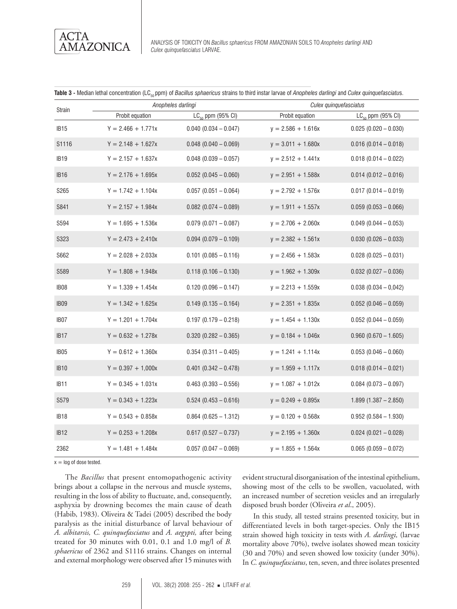

Analysis of toxicity on *Bacillus sphaericus* from amazonian soils to *Anopheles darlingi* and *Culex quinquefasciatus* larvae.

|  | <b>Table 3 -</b> Median lethal concentration (LC <sub>so</sub> ppm) of <i>Bacillus sphaericus s</i> trains to third instar larvae of <i>Anopheles darlingi</i> and <i>Culex quinquefasciatus</i> . |  |  |  |  |  |  |
|--|----------------------------------------------------------------------------------------------------------------------------------------------------------------------------------------------------|--|--|--|--|--|--|
|--|----------------------------------------------------------------------------------------------------------------------------------------------------------------------------------------------------|--|--|--|--|--|--|

| <b>Strain</b>    |                      | Anopheles darlingi      |                      | Culex quinquefasciatus  |  |  |
|------------------|----------------------|-------------------------|----------------------|-------------------------|--|--|
|                  | Probit equation      | $LC_{50}$ ppm (95% CI)  | Probit equation      | $LC_{50}$ ppm (95% CI)  |  |  |
| IB <sub>15</sub> | $Y = 2.466 + 1.771x$ | $0.040(0.034 - 0.047)$  | $y = 2.586 + 1.616x$ | $0.025(0.020 - 0.030)$  |  |  |
| S1116            | $Y = 2.148 + 1.627x$ | $0.048(0.040 - 0.069)$  | $y = 3.011 + 1.680x$ | $0.016(0.014 - 0.018)$  |  |  |
| IB <sub>19</sub> | $Y = 2.157 + 1.637x$ | $0.048(0.039 - 0.057)$  | $y = 2.512 + 1.441x$ | $0.018(0.014 - 0.022)$  |  |  |
| <b>IB16</b>      | $Y = 2.176 + 1.695x$ | $0.052(0.045 - 0.060)$  | $y = 2.951 + 1.588x$ | $0.014(0.012 - 0.016)$  |  |  |
| S265             | $Y = 1.742 + 1.104x$ | $0.057(0.051 - 0.064)$  | $y = 2.792 + 1.576x$ | $0.017(0.014 - 0.019)$  |  |  |
| S841             | $Y = 2.157 + 1.984x$ | $0.082(0.074 - 0.089)$  | $y = 1.911 + 1.557x$ | $0.059(0.053 - 0.066)$  |  |  |
| S594             | $Y = 1.695 + 1.536x$ | $0.079(0.071 - 0.087)$  | $y = 2.706 + 2.060x$ | $0.049$ (0.044 - 0.053) |  |  |
| S323             | $Y = 2.473 + 2.410x$ | $0.094(0.079 - 0.109)$  | $y = 2.382 + 1.561x$ | $0.030(0.026 - 0.033)$  |  |  |
| S662             | $Y = 2.028 + 2.033x$ | $0.101(0.085 - 0.116)$  | $y = 2.456 + 1.583x$ | $0.028$ (0.025 - 0.031) |  |  |
| S589             | $Y = 1.808 + 1.948x$ | $0.118(0.106 - 0.130)$  | $y = 1.962 + 1.309x$ | $0.032$ (0.027 - 0.036) |  |  |
| IB <sub>08</sub> | $Y = 1.339 + 1.454x$ | $0.120(0.096 - 0.147)$  | $y = 2.213 + 1.559x$ | $0.038(0.034 - 0.042)$  |  |  |
| IB <sub>09</sub> | $Y = 1.342 + 1.625x$ | $0.149(0.135 - 0.164)$  | $y = 2.351 + 1.835x$ | $0.052$ (0.046 - 0.059) |  |  |
| IB07             | $Y = 1.201 + 1.704x$ | $0.197(0.179 - 0.218)$  | $y = 1.454 + 1.130x$ | $0.052$ (0.044 - 0.059) |  |  |
| IB <sub>17</sub> | $Y = 0.632 + 1.278x$ | $0.320(0.282 - 0.365)$  | $y = 0.184 + 1.046x$ | $0.960(0.670 - 1.605)$  |  |  |
| IB <sub>05</sub> | $Y = 0.612 + 1.360x$ | $0.354(0.311 - 0.405)$  | $y = 1.241 + 1.114x$ | $0.053(0.046 - 0.060)$  |  |  |
| <b>IB10</b>      | $Y = 0.397 + 1,000x$ | $0.401 (0.342 - 0.478)$ | $y = 1.959 + 1.117x$ | $0.018(0.014 - 0.021)$  |  |  |
| IB <sub>11</sub> | $Y = 0.345 + 1.031x$ | $0.463(0.393 - 0.556)$  | $y = 1.087 + 1.012x$ | $0.084$ (0.073 - 0.097) |  |  |
| S579             | $Y = 0.343 + 1.223x$ | $0.524(0.453 - 0.616)$  | $y = 0.249 + 0.895x$ | $1.899(1.387 - 2.850)$  |  |  |
| <b>IB18</b>      | $Y = 0.543 + 0.858x$ | $0.864$ (0.625 - 1.312) | $y = 0.120 + 0.568x$ | $0.952(0.584 - 1.930)$  |  |  |
| <b>IB12</b>      | $Y = 0.253 + 1.208x$ | $0.617(0.527 - 0.737)$  | $y = 2.195 + 1.360x$ | $0.024$ (0.021 - 0.028) |  |  |
| 2362             | $Y = 1.481 + 1.484x$ | $0.057(0.047 - 0.069)$  | $y = 1.855 + 1.564x$ | $0.065(0.059 - 0.072)$  |  |  |

 $x = \log$  of dose tested.

The *Bacillus* that present entomopathogenic activity brings about a collapse in the nervous and muscle systems, resulting in the loss of ability to fluctuate, and, consequently, asphyxia by drowning becomes the main cause of death (Habib, 1983). Oliveira & Tadei (2005) described the body paralysis as the initial disturbance of larval behaviour of *A. albitarsis, C. quinquefasciatus* and *A. aegypti,* after being treated for 30 minutes with 0.01, 0.1 and 1.0 mg/l of *B. sphaericus* of 2362 and S1116 strains. Changes on internal and external morphology were observed after 15 minutes with

evident structural disorganisation of the intestinal epithelium, showing most of the cells to be swollen, vacuolated, with an increased number of secretion vesicles and an irregularly disposed brush border (Oliveira *et al*., 2005).

In this study, all tested strains presented toxicity, but in differentiated levels in both target-species. Only the IB15 strain showed high toxicity in tests with *A. darlingi,* (larvae mortality above 70%), twelve isolates showed mean toxicity (30 and 70%) and seven showed low toxicity (under 30%). In *C. quinquefasciatus*, ten, seven, and three isolates presented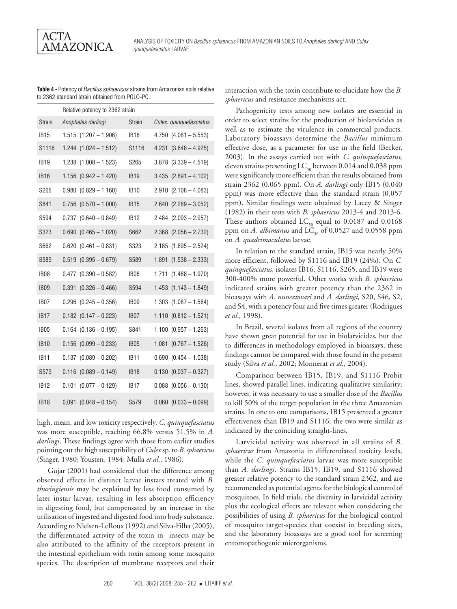**Table 4 -** Potency of *Bacillus sphaericus* strains from Amazonian soils relative to 2362 standard strain obtained from POLO-PC.

|                  | Relative potency to 2362 strain |                  |                            |  |  |
|------------------|---------------------------------|------------------|----------------------------|--|--|
| <b>Strain</b>    | Anopheles darlingi              | <b>Strain</b>    | Culex. quinquefasciatus    |  |  |
| <b>IB15</b>      | $1.515$ $(1.207 - 1.906)$       | <b>IB16</b>      | $4.750$ $(4.081 - 5.553)$  |  |  |
| S1116            | $1.244$ $(1.024 - 1.512)$       | S1116            | $4.231$ $(3.648 - 4.925)$  |  |  |
| IB <sub>19</sub> | $1.238$ $(1.008 - 1.523)$       | S265             | $3.878$ $(3.339 - 4.519)$  |  |  |
| IB <sub>16</sub> | $1.156$ $(0.942 - 1.420)$       | <b>IB19</b>      | $3.435$ $(2.891 - 4.102)$  |  |  |
| S265             | $0.980$ $(0.829 - 1.160)$       | <b>IB10</b>      | $2.910$ $(2.108 - 4.083)$  |  |  |
| S841             | $0.756$ $(0.570 - 1.000)$       | IB <sub>15</sub> | $2.640$ $(2.289 - 3.052)$  |  |  |
| S594             | $0.737$ $(0.640 - 0.849)$       | IB <sub>12</sub> | $2.484$ $(2.093 - 2.957)$  |  |  |
| S323             | $0.690$ $(0.465 - 1.020)$       | S662             | $2.368$ $(2.056 - 2.732)$  |  |  |
| S662             | $0.620$ $(0.461 - 0.831)$       | S323             | $2.185$ $(1.895 - 2.524)$  |  |  |
| S589             | $0.519$ $(0.395 - 0.679)$       | S589             | $1.891$ $(1.538 - 2.333)$  |  |  |
| <b>IB08</b>      | $0.477$ $(0.390 - 0.582)$       | IB08             | $1.711(1.488 - 1.970)$     |  |  |
| <b>IB09</b>      | 0.391<br>$(0.326 - 0.466)$      | S594             | $1.453$ $(1.143 - 1.849)$  |  |  |
| IB <sub>07</sub> | $0.296$ $(0.245 - 0.356)$       | IB <sub>09</sub> | $1.303$ $(1.087 - 1.564)$  |  |  |
| IB <sub>17</sub> | $0.182$ $(0.147 - 0.223)$       | IB <sub>07</sub> | $1.110 (0.812 - 1.521)$    |  |  |
| <b>IB05</b>      | $0.164$ $(0.136 - 0.195)$       | S841             | $1.100$ $(0.957 - 1.263)$  |  |  |
| <b>IB10</b>      | $0.156$ $(0.099 - 0.233)$       | IB <sub>05</sub> | $(0.767 - 1.526)$<br>1.081 |  |  |
| <b>IB11</b>      | $0.137$ $(0.089 - 0.202)$       | <b>IB11</b>      | $0.690$ $(0.454 - 1.038)$  |  |  |
| S579             | $0.116$ $(0.089 - 0.149)$       | IB <sub>18</sub> | $0.130$ $(0.037 - 0.327)$  |  |  |
| <b>IB12</b>      | 0.101<br>$(0.077 - 0.129)$      | IB <sub>17</sub> | $0.088$ $(0.056 - 0.130)$  |  |  |
| <b>IB18</b>      | $0,091$ $(0.048 - 0.154)$       | S579             | $0.060$ $(0.033 - 0.099)$  |  |  |

high, mean, and low toxicity respectively. *C. quinquefasciatus* was more susceptible, reaching 66.8% versus 51.5% in *A. darlingi*. These findings agree with those from earlier studies pointing out the high susceptibility of *Culex* sp. to *B. sphaericus*  (Singer, 1980; Yousten, 1984; Mulla *et al*., 1986).

Gujar (2001) had considered that the difference among observed effects in distinct larvae instars treated with *B. thuringiensis* may be explained by less food consumed by later instar larvae, resulting in less absorption efficiency in digesting food, but compensated by an increase in the utilisation of ingested and digested food into body substance. According to Nielsen-LeRoux (1992) and Silva-Filha (2005), the differentiated activity of the toxin in insects may be also attributed to the affinity of the receptors present in the intestinal epithelium with toxin among some mosquito species. The description of membrane receptors and their

interaction with the toxin contribute to elucidate how the *B. sphaericus* and resistance mechanisms act.

Pathogenicity tests among new isolates are essential in order to select strains for the production of biolarvicides as well as to estimate the virulence in commercial products. Laboratory bioassays determine the *Bacillus* minimum effective dose, as a parameter for use in the field (Becker, 2003). In the assays carried out with *C. quinquefasciatus,* eleven strains presenting  $LC_{50}$  between 0.014 and 0.038 ppm were significantly more efficient than the results obtained from strain 2362 (0.065 ppm). On *A. darlingi* only IB15 (0.040 ppm) was more effective than the standard strain (0,057 ppm). Similar findings were obtained by Lacey & Singer (1982) in their tests with *B. sphaericus* 2013-4 and 2013-6. These authors obtained  $LC_{50}$  equal to 0.0187 and 0.0168 ppm on *A. albimanus* and  $\overline{LC}_{50}$  of 0.0527 and 0.0558 ppm on *A. quadrimaculatus* larvae.

In relation to the standard strain, IB15 was nearly 50% more efficient, followed by S1116 and IB19 (24%). On *C. quinquefasciatus,* isolates IB16, S1116, S265, and IB19 were 300-400% more powerful. Other works with *B. sphaericus* indicated strains with greater potency than the 2362 in bioassays with *A. nuneztovari* and *A. darlingi,* S20, S46, S2, and S4, with a potency four and five times greater (Rodrigues *et al*., 1998).

In Brazil, several isolates from all regions of the country have shown great potential for use in biolarvicides, but due to differences in methodology employed in bioassays, these findings cannot be compared with those found in the present study (Silva *et al*., 2002; Monnerat *et al*., 2004).

Comparison between IB15, IB19, and S1116 Probit lines, showed parallel lines, indicating qualitative similarity; however, it was necessary to use a smaller dose of the *Bacillus* to kill 50% of the target population in the three Amazonian strains. In one to one comparisons, IB15 presented a greater effectiveness than IB19 and S1116; the two were similar as indicated by the coinciding straight-lines.

Larvicidal activity was observed in all strains of *B. sphaericus* from Amazonia in differentiated toxicity levels, while the *C. quinquefasciatus* larvae was more susceptible than *A. darlingi*. Strains IB15, IB19, and S1116 showed greater relative potency to the standard strain 2362, and are recommended as potential agents for the biological control of mosquitoes. In field trials, the diversity in larvicidal activity plus the ecological effects are relevant when considering the possibilities of using *B. sphaericus* for the biological control of mosquito target-species that coexist in breeding sites, and the laboratory bioassays are a good tool for screening entomopathogenic microrganisms.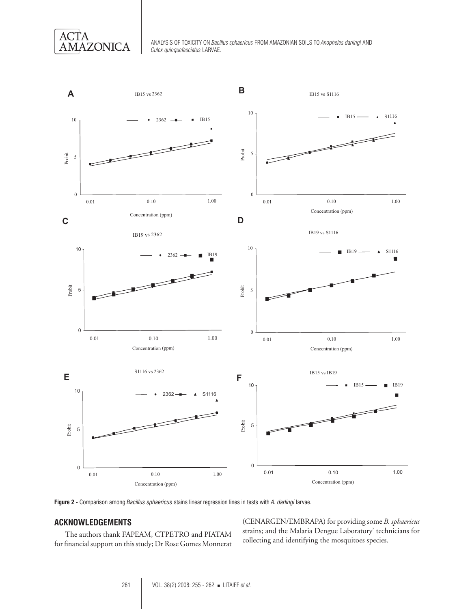

Analysis of toxicity on *Bacillus sphaericus* from amazonian soils to *Anopheles darlingi* and *Culex quinquefasciatus* larvae.



**Figure 2 -** Comparison among *Bacillus sphaericus* stains linear regression lines in tests with *A. darlingi* larvae.

# **ACKNOWLEDGEMENTS**

The authors thank FAPEAM, CTPETRO and PIATAM for financial support on this study; Dr Rose Gomes Monnerat

(CENARGEN/EMBRAPA) for providing some *B. sphaericus*  strains; and the Malaria Dengue Laboratory' technicians for collecting and identifying the mosquitoes species.